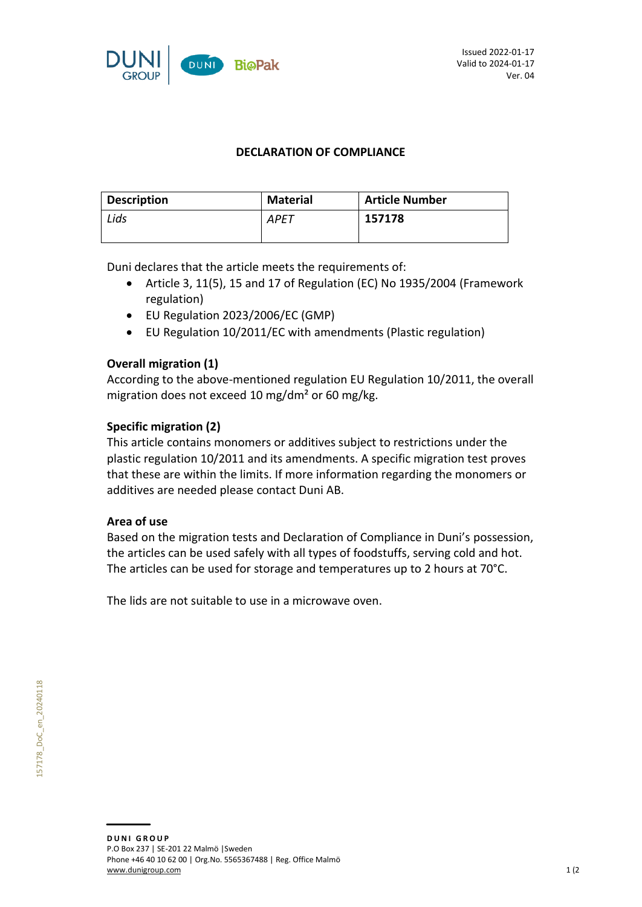

### **DECLARATION OF COMPLIANCE**

| <b>Description</b> | <b>Material</b> | <b>Article Number</b> |
|--------------------|-----------------|-----------------------|
| Lids               | <b>APET</b>     | 157178                |
|                    |                 |                       |

Duni declares that the article meets the requirements of:

- Article 3, 11(5), 15 and 17 of Regulation (EC) No 1935/2004 (Framework regulation)
- EU Regulation 2023/2006/EC (GMP)
- EU Regulation 10/2011/EC with amendments (Plastic regulation)

## **Overall migration (1)**

According to the above-mentioned regulation EU Regulation 10/2011, the overall migration does not exceed 10 mg/dm² or 60 mg/kg.

## **Specific migration (2)**

This article contains monomers or additives subject to restrictions under the plastic regulation 10/2011 and its amendments. A specific migration test proves that these are within the limits. If more information regarding the monomers or additives are needed please contact Duni AB.

## **Area of use**

Based on the migration tests and Declaration of Compliance in Duni's possession, the articles can be used safely with all types of foodstuffs, serving cold and hot. The articles can be used for storage and temperatures up to 2 hours at 70°C.

The lids are not suitable to use in a microwave oven.